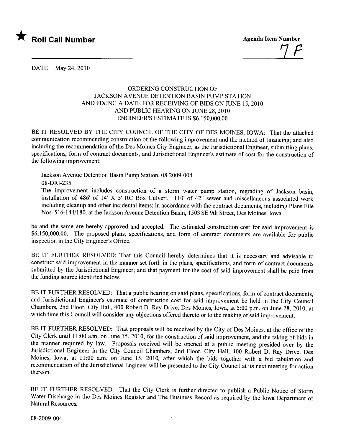

 $\frac{1}{2}$ 

DATE May 24,2010

## ORDERING CONSTRUCTION OF JACKSON AVENUE DETENTION BASIN PUMP STATION AND FIXING A DATE FOR RECEIVING OF BIDS ON JUNE 15,2010 AND PUBLIC HEARING ON JUNE 28, 2010 ENGINEER'S ESTIMATE IS \$6,150,000.00

BE IT RESOLVED BY THE CITY COUNCIL OF THE CITY OF DES MOINES, IOWA: That the attached communication recommending construction of the following improvement and the method of financing; and also including the recommendation of the Des Moines City Engineer, as the Jurisdictional Engineer, submitting plans, specifications, form of contract documents, and Jurisdictional Engineer's estimate of cost for the construction of the following improvement:

Jackson Avenue Detention Basin Pump Station, 08-2009-004

08-DRl-235

The improvement includes construction of a storm water pump station, regrading of Jackson basin, installation of 486' of 14' X 5' RC Box Culvert, 110' of 42" sewer and miscellaneous associated work including cleanup and other incidental items; in accordance with the contract documents, including Plans File Nos. 516-144/180, at the Jackson Avenue Detention Basin, 1503 SE 9th Street, Des Moines, Iowa

be and the same are hereby approved and accepted. The estimated construction cost for said improvement is \$6,150,000.00. The proposed plans, specifications, and form of contract documents are available for public inspection in the City Engineer's Office.

BE IT FURTHER RESOLVED: That this Council hereby determines that it is necessary and advisable to construct said improvement in the manner set forth in the plans, specifications, and form of contract documents submitted by the Jurisdictional Engineer; and that payment for the cost of said improvement shall be paid from the funding source identified below.

BE IT FURTHER RESOLVED: That a public hearing on said plans, specifications, form of contract documents, and Jurisdictional Engineer's estimate of construction cost for said improvement be held in the City Council Chambers, 2nd Floor, City Hall, 400 Robert D. Ray Drive, Des Moines, Iowa, at 5:00 p.m. on June 28, 2010, at which time this Council will consider any objections offered thereto or to the making of said improvement.

BE IT FURTHER RESOLVED: That proposals will be received by the City of Des Moines, at the office of the City Clerk until 11 :00 a.m. on June 15, 2010, for the construction of said improvement, and the taking of bids in the manner required by law. Proposals received will be opened at a public meeting presided over by the Jurisdictional Engineer in the City Council Chambers, 2nd Floor, City Hall, 400 Robert D. Ray Drive, Des Moines, Iowa, at 11:00 a.m. on June 15, 2010, after which the bids together with a bid tabulation and recommendation of the Jurisdictional Engineer will be presented to the City Council at its next meeting for action thereon.

BE IT FURTHER RESOLVED: That the City Clerk is further directed to publish a Public Notice of Storm Water Discharge in the Des Moines Register and The Business Record as required by the Iowa Department of Natural Resources.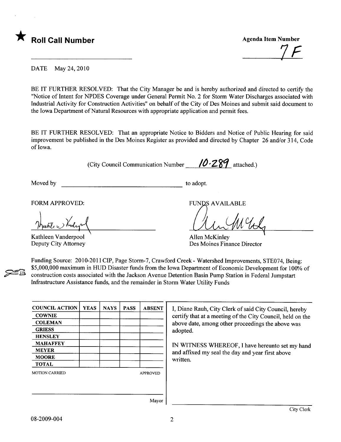

7F

DATE May 24,2010

BE IT FURTHER RESOLVED: That the City Manager be and is hereby authorized and directed to certify the "Notice of Intent for NPDES Coverage under General Permit No.2 for Storm Water Discharges associated with Industrial Activity for Construction Activities" on behalf of the City of Des Moines and submit said document to the Iowa Department of Natural Resources with appropriate application and permit fees.

BE IT FURTHER RESOLVED: That an appropriate Notice to Bidders and Notice of Public Hearing for said improvement be published in the Des Moines Register as provided and directed by Chapter 26 and/or 314, Code of Iowa.

(City Council Communication Number  $/0.289$  attached.)

Moved by to adopt.

**23** 

FORM APPROVED:

Huble n Vinley 1

Kathleen Vanderpool Deputy City Attorney

**FUNDS AVAILABLE** 

Allen McKinley Des Moines Finance Director

Funding Source: 2010-2011 CIP, Page Storm-7, Crawford Creek - Watershed Improvements, STE074, Being: \$5,000,000 maximum in HUD Disaster funds from the Iowa Department of Economic Development for 100% of construction costs associated with the Jackson Avenue Detention Basin Pump Station in Federal Jumpstart Infrastructure Assistance funds, and the remainder in Storm Water Utilty Funds

| <b>COUNCIL ACTION</b> | <b>YEAS</b> | <b>NAYS</b> | <b>PASS</b> | <b>ABSENT</b>   |
|-----------------------|-------------|-------------|-------------|-----------------|
| <b>COWNIE</b>         |             |             |             |                 |
| <b>COLEMAN</b>        |             |             |             |                 |
| <b>GRIESS</b>         |             |             |             |                 |
| <b>HENSLEY</b>        |             |             |             |                 |
| <b>MAHAFFEY</b>       |             |             |             |                 |
| <b>MEYER</b>          |             |             |             |                 |
| <b>MOORE</b>          |             |             |             |                 |
| <b>TOTAL</b>          |             |             |             |                 |
| <b>MOTION CARRIED</b> |             |             |             | <b>APPROVED</b> |
|                       |             |             |             |                 |
|                       |             |             |             |                 |
|                       |             |             |             | $M$ ovor        |

I, Diane Rauh, City Clerk of said City Council, hereby certify that at a meeting of the City Council, held on the above date, among other proceedings the above was adopted.

IN WITNESS WHEREOF, I have hereunto set my hand and affxed my seal the day and year first above written.

Mayor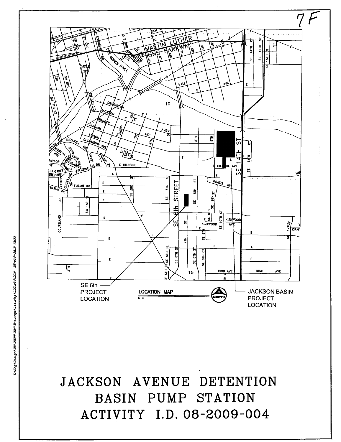## JACKSON AVENUE DETENTION BASIN PUMP STATION ACTIVITY I.D. 08-2009-004

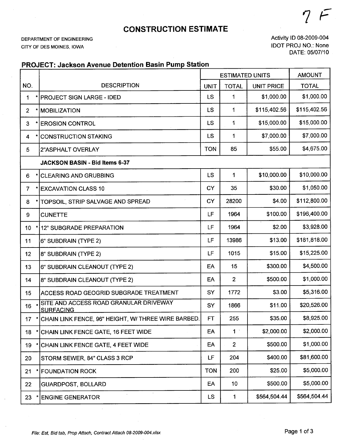7 F

## CONSTRUCTION ESTIMATE

DEPARTMENT OF ENGINEERING CITY OF DES MOINES, IOWA

Activity 10 08-2009-004 IDOT PROJ NO.: None DATE: 05/07/10

## PROJECT: Jackson Avenue Detention Basin Pump Station

|                   |                                                            | <b>ESTIMATED UNITS</b> |                |                   | <b>AMOUNT</b> |  |
|-------------------|------------------------------------------------------------|------------------------|----------------|-------------------|---------------|--|
| NO.               | <b>DESCRIPTION</b>                                         | <b>UNIT</b>            | <b>TOTAL</b>   | <b>UNIT PRICE</b> | <b>TOTAL</b>  |  |
| 1                 | <b>IPROJECT SIGN LARGE - IDED</b>                          | <b>LS</b>              | 1              | \$1,000.00        | \$1,000.00    |  |
| $\overline{2}$    | <b>MOBILIZATION</b>                                        | LS                     | 1              | \$115,402.56      | \$115,402.56  |  |
| 3                 | <b>EROSION CONTROL</b>                                     | LS                     | 1              | \$15,000.00       | \$15,000.00   |  |
| 4                 | <b>CONSTRUCTION STAKING</b>                                | LS                     | 1              | \$7,000.00        | \$7,000.00    |  |
| 5                 | 2"ASPHALT OVERLAY                                          | <b>TON</b>             | 85             | \$55.00           | \$4,675.00    |  |
|                   | JACKSON BASIN - Bid Items 6-37                             |                        |                |                   |               |  |
| $\pmb{\ast}$<br>6 | <b>CLEARING AND GRUBBING</b>                               | LS                     | 1              | \$10,000.00       | \$10,000.00   |  |
| $\overline{7}$    | <b>EXCAVATION CLASS 10</b>                                 | CY                     | 35             | \$30.00           | \$1,050.00    |  |
| 8                 | TOPSOIL, STRIP SALVAGE AND SPREAD                          | CY                     | 28200          | \$4.00            | \$112,800.00  |  |
| 9                 | <b>CUNETTE</b>                                             | LF                     | 1964           | \$100.00          | \$196,400.00  |  |
| 10 <sub>1</sub>   | <b>12" SUBGRADE PREPARATION</b>                            | LF                     | 1964           | \$2.00            | \$3,928.00    |  |
| 11                | 6" SUBDRAIN (TYPE 2)                                       | LF                     | 13986          | \$13.00           | \$181,818.00  |  |
| 12                | 8" SUBDRAIN (TYPE 2)                                       | LF                     | 1015           | \$15.00           | \$15,225.00   |  |
| 13                | 6" SUBDRAIN CLEANOUT (TYPE 2)                              | EA                     | 15             | \$300.00          | \$4,500.00    |  |
| 14                | 8" SUBDRAIN CLEANOUT (TYPE 2)                              | EA                     | $\overline{2}$ | \$500.00          | \$1,000.00    |  |
| 15                | ACCESS ROAD GEOGRID SUBGRADE TREATMENT                     | SY                     | 1772           | \$3.00            | \$5,316.00    |  |
| 16                | SITE AND ACCESS ROAD GRANULAR DRIVEWAY<br><b>SURFACING</b> | SY                     | 1866           | \$11.00           | \$20,526.00   |  |
|                   | 17 * CHAIN LINK FENCE, 96" HEIGHT, W/ THREE WIRE BARBED.   | <b>FT</b>              | 255            | \$35.00           | \$8,925.00    |  |
| 18                | CHAIN LINK FENCE GATE, 16 FEET WIDE                        | EA                     | 1 <sup>1</sup> | \$2,000.00        | \$2,000.00    |  |
| 19                | CHAIN LINK FENCE GATE, 4 FEET WIDE                         | EA                     | $2^{\circ}$    | \$500.00          | \$1,000.00    |  |
| 20                | STORM SEWER, 84" CLASS 3 RCP                               | LF                     | 204            | \$400.00          | \$81,600.00   |  |
| 21                | <b>FOUNDATION ROCK</b>                                     | <b>TON</b>             | 200            | \$25.00           | \$5,000.00    |  |
| 22                | <b>GUARDPOST, BOLLARD</b>                                  | EA                     | 10             | \$500.00          | \$5,000.00    |  |
| 23                | <b>ENGINE GENERATOR</b>                                    | LS.                    | 1              | \$564,504.44      | \$564,504.44  |  |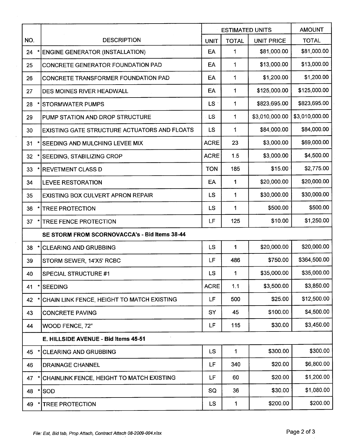|               |                                               | <b>ESTIMATED UNITS</b> |              | <b>AMOUNT</b>     |                |  |
|---------------|-----------------------------------------------|------------------------|--------------|-------------------|----------------|--|
| NO.           | <b>DESCRIPTION</b>                            | <b>UNIT</b>            | <b>TOTAL</b> | <b>UNIT PRICE</b> | <b>TOTAL</b>   |  |
| 24            | <b>ENGINE GENERATOR (INSTALLATION)</b>        | EA                     | 1            | \$81,000.00       | \$81,000.00    |  |
| 25            | <b>CONCRETE GENERATOR FOUNDATION PAD</b>      | EA                     | 1            | \$13,000.00       | \$13,000.00    |  |
| 26            | CONCRETE TRANSFORMER FOUNDATION PAD           | EA                     | 1            | \$1,200.00        | \$1,200.00     |  |
| 27            | <b>DES MOINES RIVER HEADWALL</b>              | EA                     | $\mathbf 1$  | \$125,000.00      | \$125,000.00   |  |
| 28            | <b>STORMWATER PUMPS</b>                       | LS.                    | 1            | \$823,695.00      | \$823,695.00   |  |
| 29            | PUMP STATION AND DROP STRUCTURE               | LS                     | 1            | \$3,010,000.00    | \$3,010,000.00 |  |
| 30            | EXISTING GATE STRUCTURE ACTUATORS AND FLOATS  | <b>LS</b>              | 1            | \$84,000.00       | \$84,000.00    |  |
| 31            | SEEDING AND MULCHING LEVEE MIX                | <b>ACRE</b>            | 23           | \$3,000.00        | \$69,000.00    |  |
| 32            | SEEDING, STABILIZING CROP                     | <b>ACRE</b>            | 1.5          | \$3,000.00        | \$4,500.00     |  |
| 33            | <b>REVETMENT CLASS D</b>                      | <b>TON</b>             | 185          | \$15.00           | \$2,775.00     |  |
| 34            | <b>LEVEE RESTORATION</b>                      | EA                     | 1            | \$20,000.00       | \$20,000.00    |  |
| 35            | <b>EXISTING BOX CULVERT APRON REPAIR</b>      | <b>LS</b>              | 1            | \$30,000.00       | \$30,000.00    |  |
| 36            | <b>TREE PROTECTION</b>                        | LS                     | 1            | \$500.00          | \$500.00       |  |
| 37            | TREE FENCE PROTECTION                         | LF                     | 125          | \$10.00           | \$1,250.00     |  |
|               | SE STORM FROM SCORNOVACCA's - Bid Items 38-44 |                        |              |                   |                |  |
| 38            | <b>CLEARING AND GRUBBING</b>                  | LS                     | 1            | \$20,000.00       | \$20,000.00    |  |
| 39            | STORM SEWER, 14'X5' RCBC                      | LF                     | 486          | \$750.00          | \$364,500.00   |  |
| 40            | SPECIAL STRUCTURE #1                          | <b>LS</b>              | 1.           | \$35,000.00       | \$35,000.00    |  |
| $\star$<br>41 | <b>SEEDING</b>                                | <b>ACRE</b>            | 1.1          | \$3,500.00        | \$3,850.00     |  |
| 42            | CHAIN LINK FENCE, HEIGHT TO MATCH EXISTING    | LF                     | 500          | \$25.00           | \$12,500.00    |  |
| 43            | <b>CONCRETE PAVING</b>                        | SY                     | 45           | \$100.00          | \$4,500.00     |  |
| 44            | WOOD FENCE, 72"                               | LF.                    | 115          | \$30.00           | \$3,450.00     |  |
|               | E. HILLSIDE AVENUE - Bid Items 45-51          |                        |              |                   |                |  |
| 45            | <b>CLEARING AND GRUBBING</b>                  | LS                     | $\mathbf 1$  | \$300.00          | \$300.00       |  |
| 46            | <b>DRAINAGE CHANNEL</b>                       | LF                     | 340          | \$20.00           | \$6,800.00     |  |
| 47            | CHAINLINK FENCE, HEIGHT TO MATCH EXISTING     | LF                     | 60           | \$20.00           | \$1,200.00     |  |
| ŧ<br>48       | <b>SOD</b>                                    | SQ                     | 36           | \$30.00           | \$1,080.00     |  |
| 49            | <b>TREE PROTECTION</b>                        | LS                     | 1            | \$200.00          | \$200.00       |  |

 $\mathcal{A}^{\mathcal{A}}$ 

 $\mathcal{A}$ 

 $\sim$